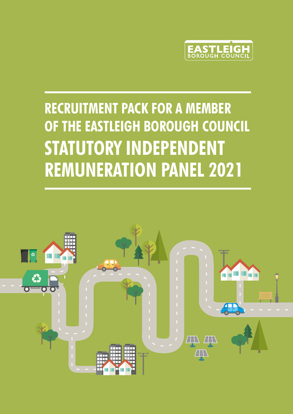

# **RECRUITMENT PACK FOR A MEMBER OF THE EASTLEIGH BOROUGH COUNCIL STATUTORY INDEPENDENT REMUNERATION PANEL 2021**

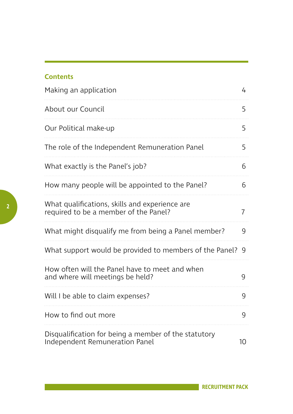# **Contents**

| Making an application                                                                   | 4  |
|-----------------------------------------------------------------------------------------|----|
| About our Council                                                                       | 5  |
| Our Political make-up                                                                   | 5  |
| The role of the Independent Remuneration Panel                                          | 5  |
| What exactly is the Panel's job?                                                        | 6  |
| How many people will be appointed to the Panel?                                         | 6  |
| What qualifications, skills and experience are<br>required to be a member of the Panel? | 7  |
| What might disqualify me from being a Panel member?                                     | 9  |
| What support would be provided to members of the Panel? 9                               |    |
| How often will the Panel have to meet and when<br>and where will meetings be held?      | 9  |
| Will I be able to claim expenses?                                                       | 9  |
| How to find out more                                                                    | 9  |
| Disqualification for being a member of the statutory<br>Independent Remuneration Panel  | 10 |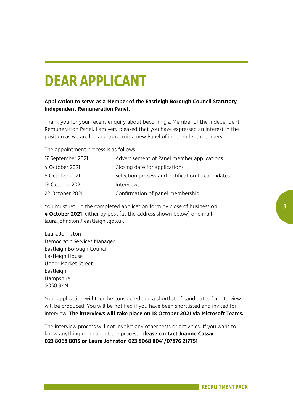# **DEAR APPLICANT**

#### **Application to serve as a Member of the Eastleigh Borough Council Statutory Independent Remuneration Panel.**

Thank you for your recent enquiry about becoming a Member of the Independent Remuneration Panel. I am very pleased that you have expressed an interest in the position as we are looking to recruit a new Panel of independent members.

The appointment process is as follows: -

| 17 September 2021 | Advertisement of Panel member applications       |
|-------------------|--------------------------------------------------|
| 4 October 2021    | Closing date for applications                    |
| 8 October 2021    | Selection process and notification to candidates |
| 18 October 2021   | Interviews                                       |
| 22 October 2021   | Confirmation of panel membership                 |

You must return the completed application form by close of business on **4 October 2021**, either by post (at the address shown below) or e-mail laura.johnston@eastleigh .gov.uk

Laura Johnston Democratic Services Manager Eastleigh Borough Council Eastleigh House Upper Market Street Eastleigh Hampshire SO50 9YN

Your application will then be considered and a shortlist of candidates for interview will be produced. You will be notified if you have been shortlisted and invited for interview. **The interviews will take place on 18 October 2021 via Microsoft Teams.**

The interview process will not involve any other tests or activities. If you want to know anything more about the process, **please contact Joanne Cassar 023 8068 8015 or Laura Johnston 023 8068 8041/07876 217751**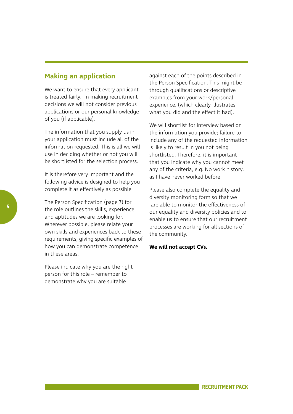#### <span id="page-3-0"></span>**Making an application**

We want to ensure that every applicant is treated fairly. In making recruitment decisions we will not consider previous applications or our personal knowledge of you (if applicable).

The information that you supply us in your application must include all of the information requested. This is all we will use in deciding whether or not you will be shortlisted for the selection process.

It is therefore very important and the following advice is designed to help you complete it as effectively as possible.

The Person Specification (page 7) for the role outlines the skills, experience and aptitudes we are looking for. Wherever possible, please relate your own skills and experiences back to these requirements, giving specific examples of how you can demonstrate competence in these areas.

Please indicate why you are the right person for this role – remember to demonstrate why you are suitable

against each of the points described in the Person Specification. This might be through qualifications or descriptive examples from your work/personal experience, (which clearly illustrates what you did and the effect it had).

We will shortlist for interview based on the information you provide; failure to include any of the requested information is likely to result in you not being shortlisted. Therefore, it is important that you indicate why you cannot meet any of the criteria, e.g. No work history, as I have never worked before.

Please also complete the equality and diversity monitoring form so that we are able to monitor the effectiveness of our equality and diversity policies and to enable us to ensure that our recruitment processes are working for all sections of the community.

#### **We will not accept CVs.**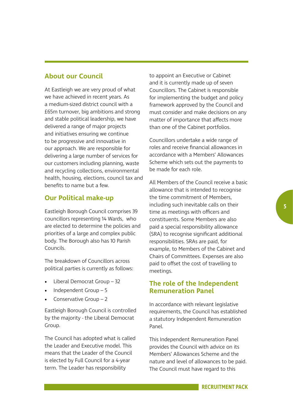# <span id="page-4-0"></span>**About our Council**

At Eastleigh we are very proud of what we have achieved in recent years. As a medium-sized district council with a £65m turnover, big ambitions and strong and stable political leadership, we have delivered a range of major projects and initiatives ensuring we continue to be progressive and innovative in our approach. We are responsible for delivering a large number of services for our customers including planning, waste and recycling collections, environmental health, housing, elections, council tax and benefits to name but a few.

#### **Our Political make-up**

Eastleigh Borough Council comprises 39 councillors representing 14 Wards, who are elected to determine the policies and priorities of a large and complex public body. The Borough also has 10 Parish Councils.

The breakdown of Councillors across political parties is currently as follows:

- Liberal Democrat Group 32
- Independent Group 5
- Conservative Group 2

Eastleigh Borough Council is controlled by the majority - the Liberal Democrat Group.

The Council has adopted what is called the Leader and Executive model. This means that the Leader of the Council is elected by Full Council for a 4-year term. The Leader has responsibility

to appoint an Executive or Cabinet and it is currently made up of seven Councillors. The Cabinet is responsible for implementing the budget and policy framework approved by the Council and must consider and make decisions on any matter of importance that affects more than one of the Cabinet portfolios.

Councillors undertake a wide range of roles and receive financial allowances in accordance with a Members' Allowances Scheme which sets out the payments to be made for each role.

All Members of the Council receive a basic allowance that is intended to recognise the time commitment of Members, including such inevitable calls on their time as meetings with officers and constituents. Some Members are also paid a special responsibility allowance (SRA) to recognise significant additional responsibilities. SRAs are paid, for example, to Members of the Cabinet and Chairs of Committees. Expenses are also paid to offset the cost of travelling to meetings.

#### **The role of the Independent Remuneration Panel**

In accordance with relevant legislative requirements, the Council has established a statutory Independent Remuneration Panel.

This Independent Remuneration Panel provides the Council with advice on its Members' Allowances Scheme and the nature and level of allowances to be paid. The Council must have regard to this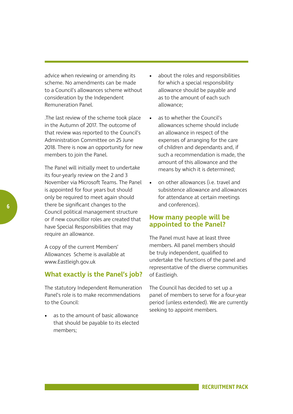<span id="page-5-0"></span>advice when reviewing or amending its scheme. No amendments can be made to a Council's allowances scheme without consideration by the Independent Remuneration Panel.

.The last review of the scheme took place in the Autumn of 2017. The outcome of that review was reported to the Council's Administration Committee on 25 June 2018. There is now an opportunity for new members to join the Panel.

The Panel will initially meet to undertake its four-yearly review on the 2 and 3 November via Microsoft Teams. The Panel is appointed for four years but should only be required to meet again should there be significant changes to the Council political management structure or if new councillor roles are created that have Special Responsibilities that may require an allowance.

A copy of the current Members' Allowances Scheme is available at www.Eastleigh.gov.uk

# **What exactly is the Panel's job?**

The statutory Independent Remuneration Panel's role is to make recommendations to the Council:

as to the amount of basic allowance that should be payable to its elected members;

- about the roles and responsibilities for which a special responsibility allowance should be payable and as to the amount of each such allowance;
- as to whether the Council's allowances scheme should include an allowance in respect of the expenses of arranging for the care of children and dependants and, if such a recommendation is made, the amount of this allowance and the means by which it is determined;
- on other allowances (i.e. travel and subsistence allowance and allowances for attendance at certain meetings and conferences).

#### **How many people will be appointed to the Panel?**

The Panel must have at least three members. All panel members should be truly independent, qualified to undertake the functions of the panel and representative of the diverse communities of Eastleigh.

The Council has decided to set up a panel of members to serve for a four-year period (unless extended). We are currently seeking to appoint members.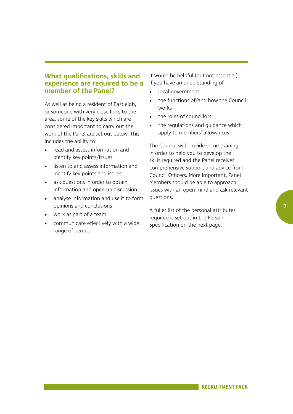#### <span id="page-6-0"></span>**What qualifications, skills and experience are required to be a member of the Panel?**

As well as being a resident of Eastleigh, or someone with very close links to the area, some of the key skills which are considered important to carry out the work of the Panel are set out below. This includes the ability to:

- read and assess information and identify key points/issues
- listen to and assess information and identify key points and issues
- ask questions in order to obtain information and open up discussion
- analyse information and use it to form opinions and conclusions
- work as part of a team
- communicate effectively with a wide range of people

It would be helpful (but not essential) if you have an understanding of

- local government
- the functions of/and how the Council works
- the roles of councillors
- the regulations and guidance which apply to members' allowances

The Council will provide some training in order to help you to develop the skills required and the Panel receives comprehensive support and advice from Council Officers. More important, Panel Members should be able to approach issues with an open mind and ask relevant questions.

A fuller list of the personal attributes required is set out in the Person Specification on the next page.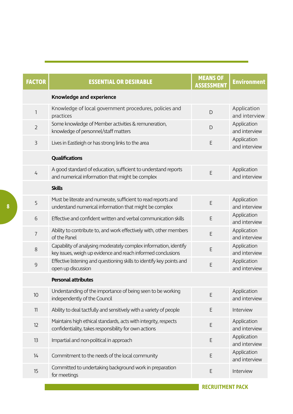| <b>FACTOR</b>  | <b>ESSENTIAL OR DESIRABLE</b>                                                                                                    | <b>MEANS OF</b><br><b>ASSESSMENT</b> | <b>Environment</b>           |
|----------------|----------------------------------------------------------------------------------------------------------------------------------|--------------------------------------|------------------------------|
|                | Knowledge and experience                                                                                                         |                                      |                              |
| $\mathbf{1}$   | Knowledge of local government procedures, policies and<br>practices                                                              | D                                    | Application<br>and interview |
| $\overline{2}$ | Some knowledge of Member activities & remuneration,<br>knowledge of personnel/staff matters                                      | D                                    | Application<br>and interview |
| 3              | Lives in Eastleigh or has strong links to the area                                                                               | $\mathsf E$                          | Application<br>and interview |
|                | <b>Qualifications</b>                                                                                                            |                                      |                              |
| $\overline{4}$ | A good standard of education, sufficient to understand reports<br>and numerical information that might be complex                | E                                    | Application<br>and interview |
|                | <b>Skills</b>                                                                                                                    |                                      |                              |
| 5              | Must be literate and numerate, sufficient to read reports and<br>understand numerical information that might be complex          | E                                    | Application<br>and interview |
| 6              | Effective and confident written and verbal communication skills                                                                  | E                                    | Application<br>and interview |
| $\overline{7}$ | Ability to contribute to, and work effectively with, other members<br>of the Panel                                               | E                                    | Application<br>and interview |
| 8              | Capability of analysing moderately complex information, identify<br>key issues, weigh up evidence and reach informed conclusions | E                                    | Application<br>and interview |
| 9              | Effective listening and questioning skills to identify key points and<br>open up discussion                                      | E                                    | Application<br>and interview |
|                | <b>Personal attributes</b>                                                                                                       |                                      |                              |
| 10             | Understanding of the importance of being seen to be working<br>independently of the Council                                      | $\mathsf E$                          | Application<br>and interview |
| 11             | Ability to deal tactfully and sensitively with a variety of people                                                               | E                                    | Interview                    |
| 12             | Maintains high ethical standards, acts with integrity, respects<br>confidentiality, takes responsibility for own actions         | E                                    | Application<br>and interview |
| 13             | Impartial and non-political in approach                                                                                          | E                                    | Application<br>and interview |
| 14             | Commitment to the needs of the local community                                                                                   | E                                    | Application<br>and interview |
| 15             | Committed to undertaking background work in preparation<br>for meetings                                                          | E                                    | Interview                    |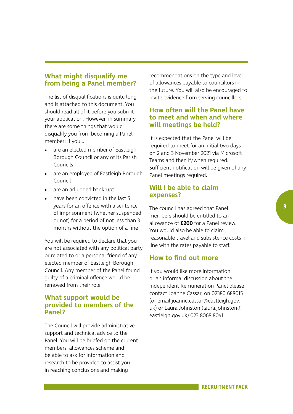#### <span id="page-8-0"></span>**What might disqualify me from being a Panel member?**

The list of disqualifications is quite long and is attached to this document. You should read all of it before you submit your application. However, in summary there are some things that would disqualify you from becoming a Panel member: If you…

- are an elected member of Eastleigh Borough Council or any of its Parish Councils
- are an employee of Eastleigh Borough Council
- are an adjudged bankrupt
- have been convicted in the last 5 years for an offence with a sentence of imprisonment (whether suspended or not) for a period of not less than 3 months without the option of a fine

You will be required to declare that you are not associated with any political party or related to or a personal friend of any elected member of Eastleigh Borough Council. Any member of the Panel found guilty of a criminal offence would be removed from their role.

#### **What support would be provided to members of the Panel?**

The Council will provide administrative support and technical advice to the Panel. You will be briefed on the current members' allowances scheme and be able to ask for information and research to be provided to assist you in reaching conclusions and making

recommendations on the type and level of allowances payable to councillors in the future. You will also be encouraged to invite evidence from serving councillors.

### **How often will the Panel have to meet and when and where will meetings be held?**

It is expected that the Panel will be required to meet for an initial two days on 2 and 3 November 2021 via Microsoft Teams and then if/when required. Sufficient notification will be given of any Panel meetings required.

#### **Will I be able to claim expenses?**

The council has agreed that Panel members should be entitled to an allowance of **£200** for a Panel review. You would also be able to claim reasonable travel and subsistence costs in line with the rates payable to staff.

# **How to find out more**

If you would like more information or an informal discussion about the Independent Remuneration Panel please contact Joanne Cassar, on 02380 688015 (or email joanne.cassar@eastleigh.gov. uk) or Laura Johnston (laura.johnston@ eastleigh.gov.uk) 023 8068 8041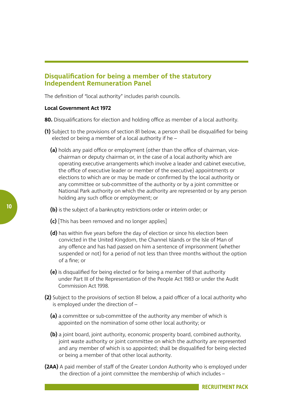#### <span id="page-9-0"></span>**Disqualification for being a member of the statutory Independent Remuneration Panel**

The definition of "local authority" includes parish councils.

#### **Local Government Act 1972**

**80.** Disqualifications for election and holding office as member of a local authority.

- **(1)** Subject to the provisions of section 81 below, a person shall be disqualified for being elected or being a member of a local authority if he –
	- **(a)** holds any paid office or employment (other than the office of chairman, vicechairman or deputy chairman or, in the case of a local authority which are operating executive arrangements which involve a leader and cabinet executive, the office of executive leader or member of the executive) appointments or elections to which are or may be made or confirmed by the local authority or any committee or sub-committee of the authority or by a joint committee or National Park authority on which the authority are represented or by any person holding any such office or employment; or
	- **(b)** is the subject of a bankruptcy restrictions order or interim order; or
	- **(c)** [This has been removed and no longer applies]
	- **(d)** has within five years before the day of election or since his election been convicted in the United Kingdom, the Channel Islands or the Isle of Man of any offence and has had passed on him a sentence of imprisonment (whether suspended or not) for a period of not less than three months without the option of a fine; or
	- **(e)** is disqualified for being elected or for being a member of that authority under Part III of the Representation of the People Act 1983 or under the Audit Commission Act 1998.
- **(2)** Subject to the provisions of section 81 below, a paid officer of a local authority who is employed under the direction of –
	- **(a)** a committee or sub-committee of the authority any member of which is appointed on the nomination of some other local authority; or
	- **(b)** a joint board, joint authority, economic prosperity board, combined authority, joint waste authority or joint committee on which the authority are represented and any member of which is so appointed; shall be disqualified for being elected or being a member of that other local authority.
- **(2AA)** A paid member of staff of the Greater London Authority who is employed under the direction of a joint committee the membership of which includes –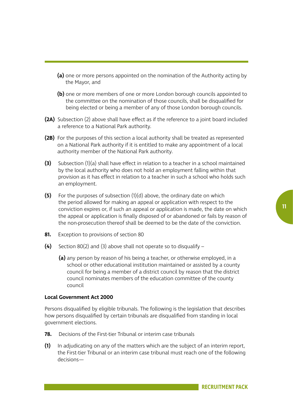- **(a)** one or more persons appointed on the nomination of the Authority acting by the Mayor, and
- **(b)** one or more members of one or more London borough councils appointed to the committee on the nomination of those councils, shall be disqualified for being elected or being a member of any of those London borough councils.
- **(2A)** Subsection (2) above shall have effect as if the reference to a joint board included a reference to a National Park authority.
- **(2B)** For the purposes of this section a local authority shall be treated as represented on a National Park authority if it is entitled to make any appointment of a local authority member of the National Park authority.
- **(3)** Subsection (1)(a) shall have effect in relation to a teacher in a school maintained by the local authority who does not hold an employment falling within that provision as it has effect in relation to a teacher in such a school who holds such an employment.
- **(5)** For the purposes of subsection (1)(d) above, the ordinary date on which the period allowed for making an appeal or application with respect to the conviction expires or, if such an appeal or application is made, the date on which the appeal or application is finally disposed of or abandoned or fails by reason of the non-prosecution thereof shall be deemed to be the date of the conviction.
- **81.** Exception to provisions of section 80
- **(4)** Section 80(2) and (3) above shall not operate so to disqualify
	- **(a)** any person by reason of his being a teacher, or otherwise employed, in a school or other educational institution maintained or assisted by a county council for being a member of a district council by reason that the district council nominates members of the education committee of the county council

#### **Local Government Act 2000**

Persons disqualified by eligible tribunals. The following is the legislation that describes how persons disqualified by certain tribunals are disqualified from standing in local government elections.

- **78.** Decisions of the First-tier Tribunal or interim case tribunals
- **(1)** In adjudicating on any of the matters which are the subject of an interim report, the First-tier Tribunal or an interim case tribunal must reach one of the following decisions—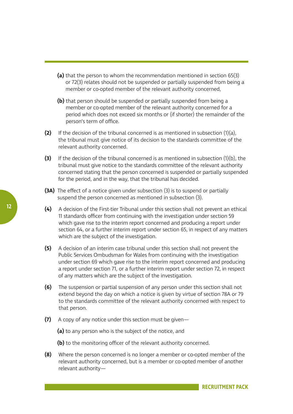- **(a)** that the person to whom the recommendation mentioned in section 65(3) or 72(3) relates should not be suspended or partially suspended from being a member or co-opted member of the relevant authority concerned,
- **(b)** that person should be suspended or partially suspended from being a member or co-opted member of the relevant authority concerned for a period which does not exceed six months or (if shorter) the remainder of the person's term of office.
- **(2)** If the decision of the tribunal concerned is as mentioned in subsection (1)(a), the tribunal must give notice of its decision to the standards committee of the relevant authority concerned.
- **(3)** If the decision of the tribunal concerned is as mentioned in subsection (1)(b), the tribunal must give notice to the standards committee of the relevant authority concerned stating that the person concerned is suspended or partially suspended for the period, and in the way, that the tribunal has decided.
- **(3A)** The effect of a notice given under subsection (3) is to suspend or partially suspend the person concerned as mentioned in subsection (3).
- **(4)** A decision of the First-tier Tribunal under this section shall not prevent an ethical 11 standards officer from continuing with the investigation under section 59 which gave rise to the interim report concerned and producing a report under section 64, or a further interim report under section 65, in respect of any matters which are the subject of the investigation.
- **(5)** A decision of an interim case tribunal under this section shall not prevent the Public Services Ombudsman for Wales from continuing with the investigation under section 69 which gave rise to the interim report concerned and producing a report under section 71, or a further interim report under section 72, in respect of any matters which are the subject of the investigation.
- **(6)** The suspension or partial suspension of any person under this section shall not extend beyond the day on which a notice is given by virtue of section 78A or 79 to the standards committee of the relevant authority concerned with respect to that person.
- **(7)** A copy of any notice under this section must be given—
	- **(a)** to any person who is the subject of the notice, and
	- **(b)** to the monitoring officer of the relevant authority concerned.
- **(8)** Where the person concerned is no longer a member or co-opted member of the relevant authority concerned, but is a member or co-opted member of another relevant authority—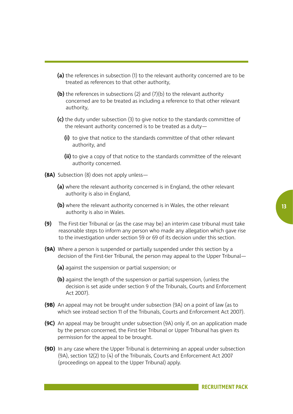- **(a)** the references in subsection (1) to the relevant authority concerned are to be treated as references to that other authority,
- **(b)** the references in subsections (2) and (7)(b) to the relevant authority concerned are to be treated as including a reference to that other relevant authority,
- **(c)** the duty under subsection (3) to give notice to the standards committee of the relevant authority concerned is to be treated as a duty—
	- **(i)** to give that notice to the standards committee of that other relevant authority, and
	- **(ii)** to give a copy of that notice to the standards committee of the relevant authority concerned.
- **(8A)** Subsection (8) does not apply unless—
	- **(a)** where the relevant authority concerned is in England, the other relevant authority is also in England,
	- **(b)** where the relevant authority concerned is in Wales, the other relevant authority is also in Wales.
- **(9)** The First-tier Tribunal or (as the case may be) an interim case tribunal must take reasonable steps to inform any person who made any allegation which gave rise to the investigation under section 59 or 69 of its decision under this section.
- **(9A)** Where a person is suspended or partially suspended under this section by a decision of the First-tier Tribunal, the person may appeal to the Upper Tribunal—
	- **(a)** against the suspension or partial suspension; or
	- **(b)** against the length of the suspension or partial suspension, (unless the decision is set aside under section 9 of the Tribunals, Courts and Enforcement Act 2007).
- **(9B)** An appeal may not be brought under subsection (9A) on a point of law (as to which see instead section 11 of the Tribunals, Courts and Enforcement Act 2007).
- **(9C)** An appeal may be brought under subsection (9A) only if, on an application made by the person concerned, the First-tier Tribunal or Upper Tribunal has given its permission for the appeal to be brought.
- **(9D)** In any case where the Upper Tribunal is determining an appeal under subsection (9A), section 12(2) to (4) of the Tribunals, Courts and Enforcement Act 2007 (proceedings on appeal to the Upper Tribunal) apply.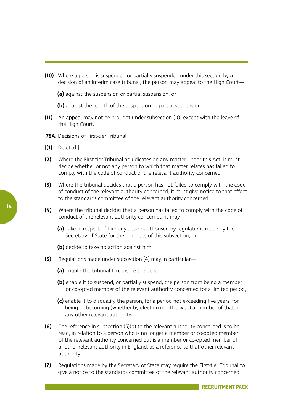- **(10)** Where a person is suspended or partially suspended under this section by a decision of an interim case tribunal, the person may appeal to the High Court—
	- **(a)** against the suspension or partial suspension, or
	- **(b)** against the length of the suspension or partial suspension.
- **(11)** An appeal may not be brought under subsection (10) except with the leave of the High Court.
- **78A.** Decisions of First-tier Tribunal
- [**(1)** Deleted.]
- **(2)** Where the First-tier Tribunal adjudicates on any matter under this Act, it must decide whether or not any person to which that matter relates has failed to comply with the code of conduct of the relevant authority concerned.
- **(3)** Where the tribunal decides that a person has not failed to comply with the code of conduct of the relevant authority concerned, it must give notice to that effect to the standards committee of the relevant authority concerned.
- **(4)** Where the tribunal decides that a person has failed to comply with the code of conduct of the relevant authority concerned, it may—
	- **(a)** Take in respect of him any action authorised by regulations made by the Secretary of State for the purposes of this subsection, or
	- **(b)** decide to take no action against him.
- **(5)** Regulations made under subsection (4) may in particular—
	- **(a)** enable the tribunal to censure the person,
	- **(b)** enable it to suspend, or partially suspend, the person from being a member or co-opted member of the relevant authority concerned for a limited period,
	- **(c)** enable it to disqualify the person, for a period not exceeding five years, for being or becoming (whether by election or otherwise) a member of that or any other relevant authority.
- **(6)** The reference in subsection (5)(b) to the relevant authority concerned is to be read, in relation to a person who is no longer a member or co-opted member of the relevant authority concerned but is a member or co-opted member of another relevant authority in England, as a reference to that other relevant authority.
- **(7)** Regulations made by the Secretary of State may require the First-tier Tribunal to give a notice to the standards committee of the relevant authority concerned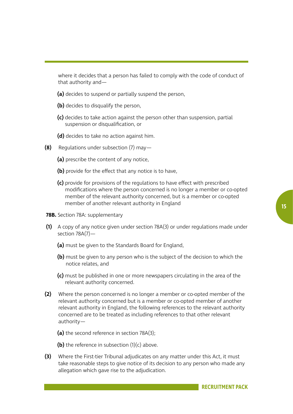where it decides that a person has failed to comply with the code of conduct of that authority and—

- **(a)** decides to suspend or partially suspend the person,
- **(b)** decides to disqualify the person,
- **(c)** decides to take action against the person other than suspension, partial suspension or disqualification, or
- **(d)** decides to take no action against him.
- **(8)** Regulations under subsection (7) may—
	- **(a)** prescribe the content of any notice,
	- **(b)** provide for the effect that any notice is to have,
	- **(c)** provide for provisions of the regulations to have effect with prescribed modifications where the person concerned is no longer a member or co-opted member of the relevant authority concerned, but is a member or co-opted member of another relevant authority in England
- **78B.** Section 78A: supplementary
- **(1)** A copy of any notice given under section 78A(3) or under regulations made under section 78A(7)—
	- **(a)** must be given to the Standards Board for England,
	- **(b)** must be given to any person who is the subject of the decision to which the notice relates, and
	- **(c)** must be published in one or more newspapers circulating in the area of the relevant authority concerned.
- **(2)** Where the person concerned is no longer a member or co-opted member of the relevant authority concerned but is a member or co-opted member of another relevant authority in England, the following references to the relevant authority concerned are to be treated as including references to that other relevant authority—
	- **(a)** the second reference in section 78A(3);
	- **(b)** the reference in subsection (1)(c) above.
- **(3)** Where the First-tier Tribunal adjudicates on any matter under this Act, it must take reasonable steps to give notice of its decision to any person who made any allegation which gave rise to the adjudication.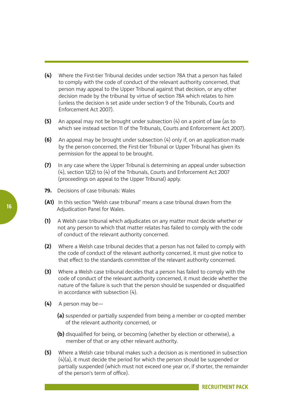- **(4)** Where the First-tier Tribunal decides under section 78A that a person has failed to comply with the code of conduct of the relevant authority concerned, that person may appeal to the Upper Tribunal against that decision, or any other decision made by the tribunal by virtue of section 78A which relates to him (unless the decision is set aside under section 9 of the Tribunals, Courts and Enforcement Act 2007).
- **(5)** An appeal may not be brought under subsection (4) on a point of law (as to which see instead section 11 of the Tribunals, Courts and Enforcement Act 2007).
- **(6)** An appeal may be brought under subsection (4) only if, on an application made by the person concerned, the First-tier Tribunal or Upper Tribunal has given its permission for the appeal to be brought.
- **(7)** In any case where the Upper Tribunal is determining an appeal under subsection (4), section 12(2) to (4) of the Tribunals, Courts and Enforcement Act 2007 (proceedings on appeal to the Upper Tribunal) apply.
- **79.** Decisions of case tribunals: Wales
- **(A1)** In this section "Welsh case tribunal" means a case tribunal drawn from the Adjudication Panel for Wales.
- **(1)** A Welsh case tribunal which adjudicates on any matter must decide whether or not any person to which that matter relates has failed to comply with the code of conduct of the relevant authority concerned.
- **(2)** Where a Welsh case tribunal decides that a person has not failed to comply with the code of conduct of the relevant authority concerned, it must give notice to that effect to the standards committee of the relevant authority concerned.
- **(3)** Where a Welsh case tribunal decides that a person has failed to comply with the code of conduct of the relevant authority concerned, it must decide whether the nature of the failure is such that the person should be suspended or disqualified in accordance with subsection (4).
- **(4)** A person may be—
	- **(a)** suspended or partially suspended from being a member or co-opted member of the relevant authority concerned, or
	- **(b)** disqualified for being, or becoming (whether by election or otherwise), a member of that or any other relevant authority.
- **(5)** Where a Welsh case tribunal makes such a decision as is mentioned in subsection (4)(a), it must decide the period for which the person should be suspended or partially suspended (which must not exceed one year or, if shorter, the remainder of the person's term of office).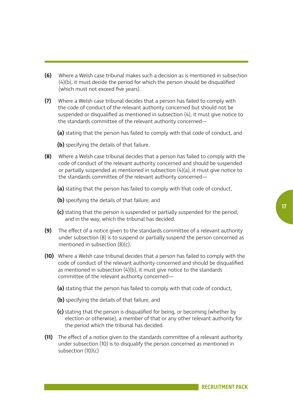- **(6)** Where a Welsh case tribunal makes such a decision as is mentioned in subsection (4)(b), it must decide the period for which the person should be disqualified (which must not exceed five years).
- **(7)** Where a Welsh case tribunal decides that a person has failed to comply with the code of conduct of the relevant authority concerned but should not be suspended or disqualified as mentioned in subsection (4), it must give notice to the standards committee of the relevant authority concerned—
	- **(a)** stating that the person has failed to comply with that code of conduct, and
	- **(b)** specifying the details of that failure.
- **(8)** Where a Welsh case tribunal decides that a person has failed to comply with the code of conduct of the relevant authority concerned and should be suspended or partially suspended as mentioned in subsection (4)(a), it must give notice to the standards committee of the relevant authority concerned—
	- **(a)** stating that the person has failed to comply with that code of conduct,
	- **(b)** specifying the details of that failure, and
	- **(c)** stating that the person is suspended or partially suspended for the period, and in the way, which the tribunal has decided.
- **(9)** The effect of a notice given to the standards committee of a relevant authority under subsection (8) is to suspend or partially suspend the person concerned as mentioned in subsection (8)(c).
- **(10)** Where a Welsh case tribunal decides that a person has failed to comply with the code of conduct of the relevant authority concerned and should be disqualified as mentioned in subsection  $(4)(b)$ , it must give notice to the standards committee of the relevant authority concerned—
	- **(a)** stating that the person has failed to comply with that code of conduct,
	- **(b)** specifying the details of that failure, and
	- **(c)** stating that the person is disqualified for being, or becoming (whether by election or otherwise), a member of that or any other relevant authority for the period which the tribunal has decided.
- **(11)** The effect of a notice given to the standards committee of a relevant authority under subsection (10) is to disqualify the person concerned as mentioned in subsection (10)(c)